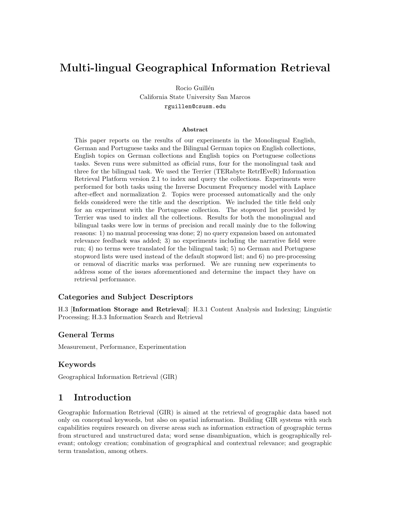# Multi-lingual Geographical Information Retrieval

Rocio Guillén California State University San Marcos rguillen@csusm.edu

#### Abstract

This paper reports on the results of our experiments in the Monolingual English, German and Portuguese tasks and the Bilingual German topics on English collections, English topics on German collections and English topics on Portuguese collections tasks. Seven runs were submitted as official runs, four for the monolingual task and three for the bilingual task. We used the Terrier (TERabyte RetrIEveR) Information Retrieval Platform version 2.1 to index and query the collections. Experiments were performed for both tasks using the Inverse Document Frequency model with Laplace after-effect and normalization 2. Topics were processed automatically and the only fields considered were the title and the description. We included the title field only for an experiment with the Portuguese collection. The stopword list provided by Terrier was used to index all the collections. Results for both the monolingual and bilingual tasks were low in terms of precision and recall mainly due to the following reasons: 1) no manual processing was done; 2) no query expansion based on automated relevance feedback was added; 3) no experiments including the narrative field were run; 4) no terms were translated for the bilingual task; 5) no German and Portuguese stopword lists were used instead of the default stopword list; and 6) no pre-processing or removal of diacritic marks was performed. We are running new experiments to address some of the issues aforementioned and determine the impact they have on retrieval performance.

#### Categories and Subject Descriptors

H.3 [Information Storage and Retrieval]: H.3.1 Content Analysis and Indexing; Linguistic Processing; H.3.3 Information Search and Retrieval

### General Terms

Measurement, Performance, Experimentation

#### Keywords

Geographical Information Retrieval (GIR)

# 1 Introduction

Geographic Information Retrieval (GIR) is aimed at the retrieval of geographic data based not only on conceptual keywords, but also on spatial information. Building GIR systems with such capabilities requires research on diverse areas such as information extraction of geographic terms from structured and unstructured data; word sense disambiguation, which is geographically relevant; ontology creation; combination of geographical and contextual relevance; and geographic term translation, among others.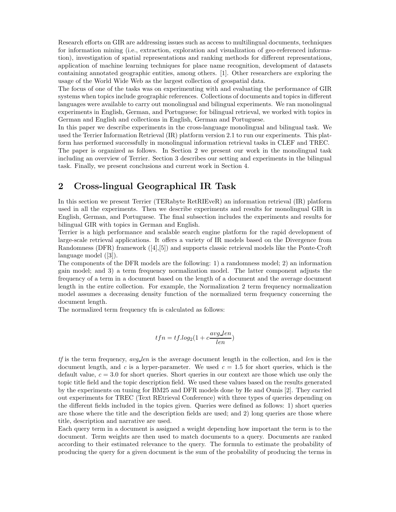Research efforts on GIR are addressing issues such as access to multilingual documents, techniques for information mining (i.e., extraction, exploration and visualization of geo-referenced information), investigation of spatial representations and ranking methods for different representations, application of machine learning techniques for place name recognition, development of datasets containing annotated geographic entities, among others. [1]. Other researchers are exploring the usage of the World Wide Web as the largest collection of geospatial data.

The focus of one of the tasks was on experimenting with and evaluating the performance of GIR systems when topics include geographic references. Collections of documents and topics in different languages were available to carry out monolingual and bilingual experiments. We ran monolingual experiments in English, German, and Portuguese; for bilingual retrieval, we worked with topics in German and English and collections in English, German and Portuguese.

In this paper we describe experiments in the cross-language monolingual and bilingual task. We used the Terrier Information Retrieval (IR) platform version 2.1 to run our experiments. This platform has performed successfully in monolingual information retrieval tasks in CLEF and TREC.

The paper is organized as follows. In Section 2 we present our work in the monolingual task including an overview of Terrier. Section 3 describes our setting and experiments in the bilingual task. Finally, we present conclusions and current work in Section 4.

# 2 Cross-lingual Geographical IR Task

In this section we present Terrier (TERabyte RetRIEveR) an information retrieval (IR) platform used in all the experiments. Then we describe experiments and results for monolingual GIR in English, German, and Portuguese. The final subsection includes the experiments and results for bilingual GIR with topics in German and English.

Terrier is a high performance and scalable search engine platform for the rapid development of large-scale retrieval applications. It offers a variety of IR models based on the Divergence from Randomness (DFR) framework ([4],[5]) and supports classic retrieval models like the Ponte-Croft language model ([3]).

The components of the DFR models are the following: 1) a randomness model; 2) an information gain model; and 3) a term frequency normalization model. The latter component adjusts the frequency of a term in a document based on the length of a document and the average document length in the entire collection. For example, the Normalization 2 term frequency normalization model assumes a decreasing density function of the normalized term frequency concerning the document length.

The normalized term frequency tfn is calculated as follows:

$$
tfn=tf.log_2(1+c\frac{avg\,len}{len})
$$

 $tf$  is the term frequency,  $avg\_len$  is the average document length in the collection, and len is the document length, and c is a hyper-parameter. We used  $c = 1.5$  for short queries, which is the default value,  $c = 3.0$  for short queries. Short queries in our context are those which use only the topic title field and the topic description field. We used these values based on the results generated by the experiments on tuning for BM25 and DFR models done by He and Ounis [2]. They carried out experiments for TREC (Text REtrieval Conference) with three types of queries depending on the different fields included in the topics given. Queries were defined as follows: 1) short queries are those where the title and the description fields are used; and 2) long queries are those where title, description and narrative are used.

Each query term in a document is assigned a weight depending how important the term is to the document. Term weights are then used to match documents to a query. Documents are ranked according to their estimated relevance to the query. The formula to estimate the probability of producing the query for a given document is the sum of the probability of producing the terms in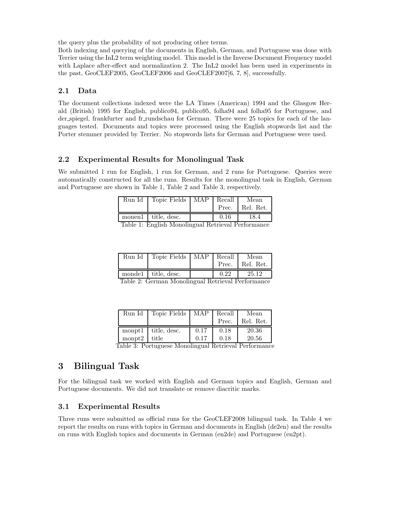the query plus the probability of not producing other terms.

Both indexing and querying of the documents in English, German, and Portuguese was done with Terrier using the InL2 term weighting model. This model is the Inverse Document Frequency model with Laplace after-effect and normalization 2. The InL2 model has been used in experiments in the past, GeoCLEF2005, GeoCLEF2006 and GeoCLEF2007[6, 7, 8], successfully.

### 2.1 Data

The document collections indexed were the LA Times (American) 1994 and the Glasgow Herald (British) 1995 for English, publico94, publico95, folha94 and folha95 for Portuguese, and der spiegel, frankfurter and fr rundschau for German. There were 25 topics for each of the languages tested. Documents and topics were processed using the English stopwords list and the Porter stemmer provided by Terrier. No stopwords lists for German and Portuguese were used.

### 2.2 Experimental Results for Monolingual Task

We submitted 1 run for English, 1 run for German, and 2 runs for Portuguese. Queries were automatically constructed for all the runs. Results for the monolingual task in English, German and Portuguese are shown in Table 1, Table 2 and Table 3, respectively.

| Run Id                                             | Topic Fields   MAP  |  | Recall | Mean            |
|----------------------------------------------------|---------------------|--|--------|-----------------|
|                                                    |                     |  |        | Prec. Rel. Ret. |
|                                                    | monen1 title, desc. |  | 0.16   | 18.4            |
| Table 1. English Monalingual Detrieval Depformance |                     |  |        |                 |

Table 1: English Monolingual Retrieval Performance

| Run Id | Topic Fields   MAP   Recall |      | Mean<br>Prec. Rel. Ret. |
|--------|-----------------------------|------|-------------------------|
| T 1 1  | monde1 title, desc.         | 0.22 | 25.12                   |

Table 2: German Monolingual Retrieval Performance

| Run Id          | Topic Fields | MAP  | Recall<br>Prec. | Mean<br>Rel. Ret. |
|-----------------|--------------|------|-----------------|-------------------|
| $\text{monpt1}$ | title, desc. | 0.17 | 0.18            | 20.36             |
| $\text{monpt}2$ | title        | 0.17 | 0.18            | 20.56             |

Table 3: Portuguese Monolingual Retrieval Performance

# 3 Bilingual Task

For the bilingual task we worked with English and German topics and English, German and Portuguese documents. We did not translate or remove diacritic marks.

### 3.1 Experimental Results

Three runs were submitted as official runs for the GeoCLEF2008 bilingual task. In Table 4 we report the results on runs with topics in German and documents in English (de2en) and the results on runs with English topics and documents in German (en2de) and Portuguese (en2pt).